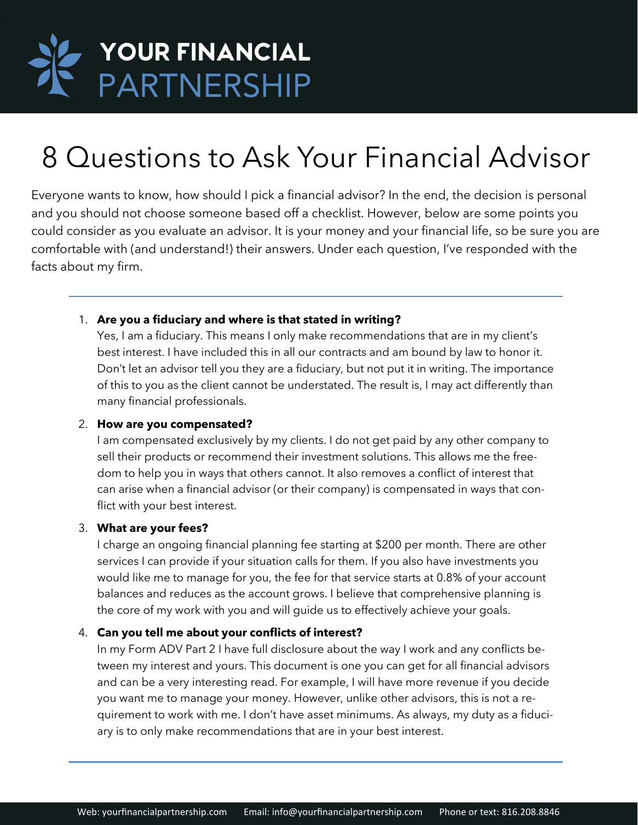

# 8 Questions to Ask Your Financial Advisor

Everyone wants to know, how should I pick a financial advisor? In the end, the decision is personal and you should not choose someone based off a checklist. However, below are some points you could consider as you evaluate an advisor. It is your money and your financial life, so be sure you are comfortable with (and understand!) their answers. Under each question, I've responded with the facts about my firm.

### 1. **Are you a fiduciary and where is that stated in writing?**

Yes, I am a fiduciary. This means I only make recommendations that are in my client's best interest. I have included this in all our contracts and am bound by law to honor it. Don't let an advisor tell you they are a fiduciary, but not put it in writing. The importance of this to you as the client cannot be understated. The result is, I may act differently than many financial professionals.

### 2. **How are you compensated?**

I am compensated exclusively by my clients. I do not get paid by any other company to sell their products or recommend their investment solutions. This allows me the freedom to help you in ways that others cannot. It also removes a conflict of interest that can arise when a financial advisor (or their company) is compensated in ways that conflict with your best interest.

### 3. **What are your fees?**

I charge an ongoing financial planning fee starting at \$200 per month. There are other services I can provide if your situation calls for them. If you also have investments you would like me to manage for you, the fee for that service starts at 0.8% of your account balances and reduces as the account grows. I believe that comprehensive planning is the core of my work with you and will guide us to effectively achieve your goals.

### 4. **Can you tell me about your conflicts of interest?**

In my Form ADV Part 2 I have full disclosure about the way I work and any conflicts between my interest and yours. This document is one you can get for all financial advisors and can be a very interesting read. For example, I will have more revenue if you decide you want me to manage your money. However, unlike other advisors, this is not a requirement to work with me. I don't have asset minimums. As always, my duty as a fiduciary is to only make recommendations that are in your best interest.